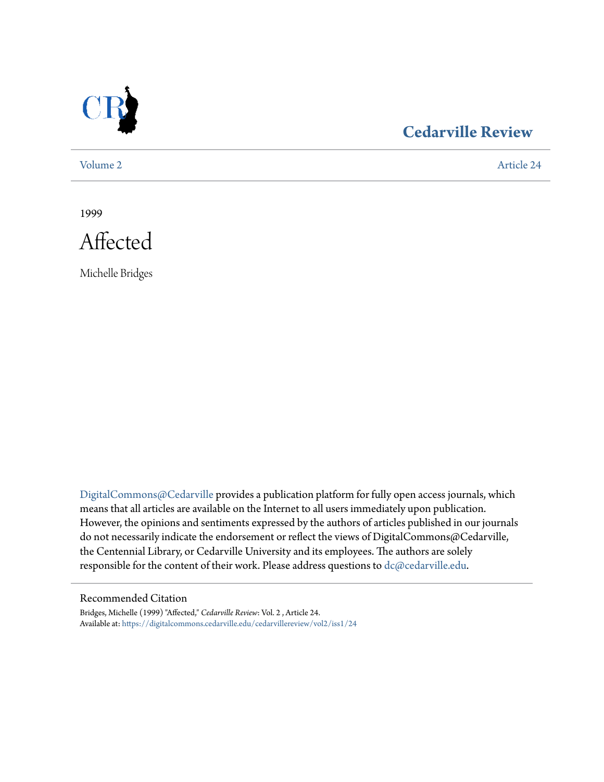

## **[Cedarville Review](https://digitalcommons.cedarville.edu/cedarvillereview?utm_source=digitalcommons.cedarville.edu%2Fcedarvillereview%2Fvol2%2Fiss1%2F24&utm_medium=PDF&utm_campaign=PDFCoverPages)**

[Volume 2](https://digitalcommons.cedarville.edu/cedarvillereview/vol2?utm_source=digitalcommons.cedarville.edu%2Fcedarvillereview%2Fvol2%2Fiss1%2F24&utm_medium=PDF&utm_campaign=PDFCoverPages) [Article 24](https://digitalcommons.cedarville.edu/cedarvillereview/vol2/iss1/24?utm_source=digitalcommons.cedarville.edu%2Fcedarvillereview%2Fvol2%2Fiss1%2F24&utm_medium=PDF&utm_campaign=PDFCoverPages)

1999



Michelle Bridges

[DigitalCommons@Cedarville](http://digitalcommons.cedarville.edu) provides a publication platform for fully open access journals, which means that all articles are available on the Internet to all users immediately upon publication. However, the opinions and sentiments expressed by the authors of articles published in our journals do not necessarily indicate the endorsement or reflect the views of DigitalCommons@Cedarville, the Centennial Library, or Cedarville University and its employees. The authors are solely responsible for the content of their work. Please address questions to [dc@cedarville.edu](mailto:dc@cedarville.edu).

#### Recommended Citation

Bridges, Michelle (1999) "Affected," *Cedarville Review*: Vol. 2 , Article 24. Available at: [https://digitalcommons.cedarville.edu/cedarvillereview/vol2/iss1/24](https://digitalcommons.cedarville.edu/cedarvillereview/vol2/iss1/24?utm_source=digitalcommons.cedarville.edu%2Fcedarvillereview%2Fvol2%2Fiss1%2F24&utm_medium=PDF&utm_campaign=PDFCoverPages)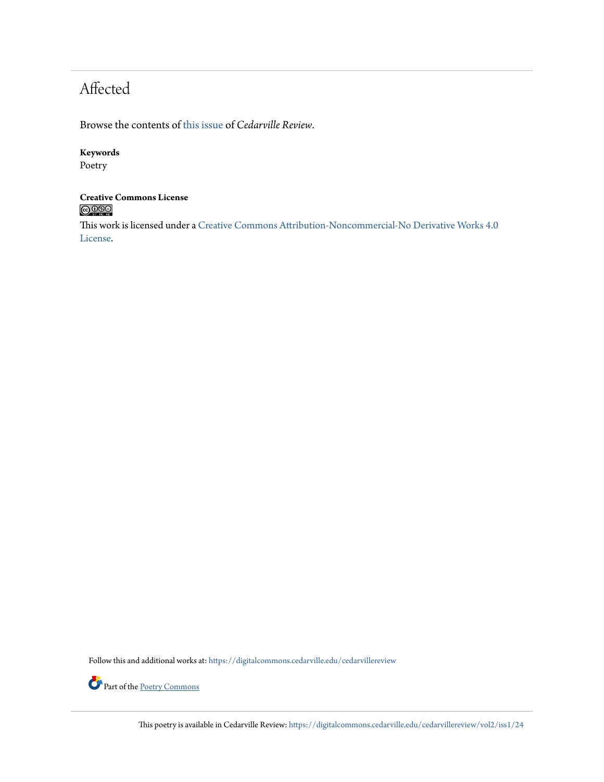# Affected

Browse the contents of [this issue](https://digitalcommons.cedarville.edu/cedarvillereview/vol2/iss1) of *Cedarville Review*.

#### **Keywords**

Poetry

#### **Creative Commons License**  $\bigcirc$  000

This work is licensed under a [Creative Commons Attribution-Noncommercial-No Derivative Works 4.0](http://creativecommons.org/licenses/by-nc-nd/4.0/) [License.](http://creativecommons.org/licenses/by-nc-nd/4.0/)

Follow this and additional works at: [https://digitalcommons.cedarville.edu/cedarvillereview](https://digitalcommons.cedarville.edu/cedarvillereview?utm_source=digitalcommons.cedarville.edu%2Fcedarvillereview%2Fvol2%2Fiss1%2F24&utm_medium=PDF&utm_campaign=PDFCoverPages)



This poetry is available in Cedarville Review: [https://digitalcommons.cedarville.edu/cedarvillereview/vol2/iss1/24](https://digitalcommons.cedarville.edu/cedarvillereview/vol2/iss1/24?utm_source=digitalcommons.cedarville.edu%2Fcedarvillereview%2Fvol2%2Fiss1%2F24&utm_medium=PDF&utm_campaign=PDFCoverPages)